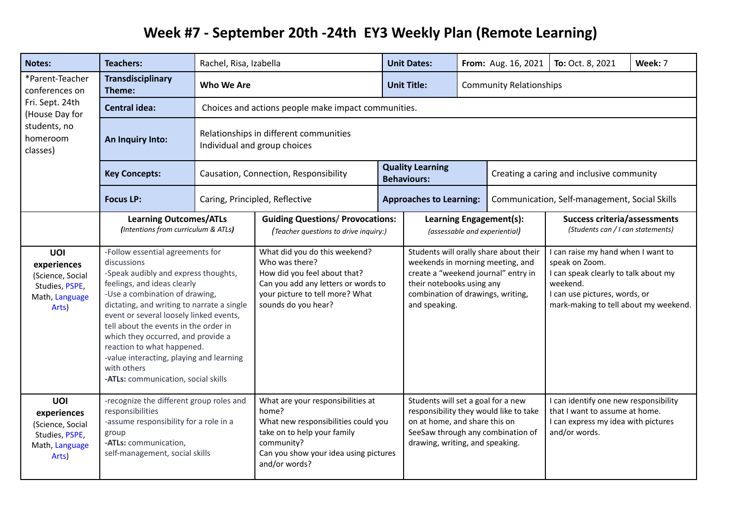## **Week #7 - September 20th -24th EY3 Weekly Plan (Remote Learning)**

| <b>Notes:</b>                                                                                                  | <b>Teachers:</b>                                                                                                                                                                                                                                                                                                                                                                                                                                                 | Rachel, Risa, Izabella                                                 |                                                                                                                                                                                          |  | <b>Unit Dates:</b>                                                                                                                                                                                   |                                | From: Aug. 16, 2021                                                                                                                                                                | To: Oct. 8, 2021 | Week: 7 |
|----------------------------------------------------------------------------------------------------------------|------------------------------------------------------------------------------------------------------------------------------------------------------------------------------------------------------------------------------------------------------------------------------------------------------------------------------------------------------------------------------------------------------------------------------------------------------------------|------------------------------------------------------------------------|------------------------------------------------------------------------------------------------------------------------------------------------------------------------------------------|--|------------------------------------------------------------------------------------------------------------------------------------------------------------------------------------------------------|--------------------------------|------------------------------------------------------------------------------------------------------------------------------------------------------------------------------------|------------------|---------|
| *Parent-Teacher<br>conferences on<br>Fri. Sept. 24th<br>(House Day for<br>students, no<br>homeroom<br>classes) | <b>Transdisciplinary</b><br>Theme:                                                                                                                                                                                                                                                                                                                                                                                                                               | Who We Are                                                             |                                                                                                                                                                                          |  | <b>Unit Title:</b>                                                                                                                                                                                   | <b>Community Relationships</b> |                                                                                                                                                                                    |                  |         |
|                                                                                                                | <b>Central idea:</b>                                                                                                                                                                                                                                                                                                                                                                                                                                             | Choices and actions people make impact communities.                    |                                                                                                                                                                                          |  |                                                                                                                                                                                                      |                                |                                                                                                                                                                                    |                  |         |
|                                                                                                                | An Inquiry Into:                                                                                                                                                                                                                                                                                                                                                                                                                                                 | Relationships in different communities<br>Individual and group choices |                                                                                                                                                                                          |  |                                                                                                                                                                                                      |                                |                                                                                                                                                                                    |                  |         |
|                                                                                                                | <b>Key Concepts:</b>                                                                                                                                                                                                                                                                                                                                                                                                                                             | Causation, Connection, Responsibility                                  |                                                                                                                                                                                          |  | <b>Quality Learning</b><br><b>Behaviours:</b>                                                                                                                                                        |                                | Creating a caring and inclusive community                                                                                                                                          |                  |         |
|                                                                                                                | <b>Focus LP:</b>                                                                                                                                                                                                                                                                                                                                                                                                                                                 | Caring, Principled, Reflective                                         |                                                                                                                                                                                          |  | <b>Approaches to Learning:</b>                                                                                                                                                                       |                                | Communication, Self-management, Social Skills                                                                                                                                      |                  |         |
|                                                                                                                | <b>Learning Outcomes/ATLs</b><br>(Intentions from curriculum & ATLs)                                                                                                                                                                                                                                                                                                                                                                                             |                                                                        | <b>Guiding Questions/ Provocations:</b><br>(Teacher questions to drive inquiry:)                                                                                                         |  | Learning Engagement(s):<br>(assessable and experiential)                                                                                                                                             |                                | <b>Success criteria/assessments</b><br>(Students can / I can statements)                                                                                                           |                  |         |
| UOI<br>experiences<br>(Science, Social<br>Studies, PSPE,<br>Math, Language<br>Arts)                            | -Follow essential agreements for<br>discussions<br>-Speak audibly and express thoughts,<br>feelings, and ideas clearly<br>-Use a combination of drawing,<br>dictating, and writing to narrate a single<br>event or several loosely linked events,<br>tell about the events in the order in<br>which they occurred, and provide a<br>reaction to what happened.<br>-value interacting, playing and learning<br>with others<br>-ATLs: communication, social skills |                                                                        | What did you do this weekend?<br>Who was there?<br>How did you feel about that?<br>Can you add any letters or words to<br>your picture to tell more? What<br>sounds do you hear?         |  | Students will orally share about their<br>weekends in morning meeting, and<br>create a "weekend journal" entry in<br>their notebooks using any<br>combination of drawings, writing,<br>and speaking. |                                | I can raise my hand when I want to<br>speak on Zoom.<br>I can speak clearly to talk about my<br>weekend.<br>I can use pictures, words, or<br>mark-making to tell about my weekend. |                  |         |
| <b>UOI</b><br>experiences<br>(Science, Social<br>Studies, PSPE,<br>Math, Language<br>Arts)                     | -recognize the different group roles and<br>responsibilities<br>-assume responsibility for a role in a<br>group<br>-ATLs: communication,<br>self-management, social skills                                                                                                                                                                                                                                                                                       |                                                                        | What are your responsibilities at<br>home?<br>What new responsibilities could you<br>take on to help your family<br>community?<br>Can you show your idea using pictures<br>and/or words? |  | Students will set a goal for a new<br>responsibility they would like to take<br>on at home, and share this on<br>SeeSaw through any combination of<br>drawing, writing, and speaking.                |                                | I can identify one new responsibility<br>that I want to assume at home.<br>I can express my idea with pictures<br>and/or words.                                                    |                  |         |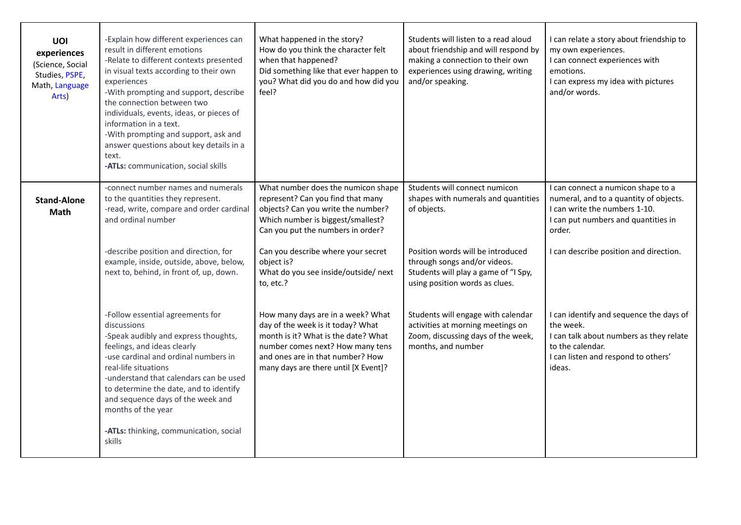| UOI<br>experiences<br>(Science, Social<br>Studies, PSPE,<br>Math, Language<br>Arts) | -Explain how different experiences can<br>result in different emotions<br>-Relate to different contexts presented<br>in visual texts according to their own<br>experiences<br>-With prompting and support, describe<br>the connection between two<br>individuals, events, ideas, or pieces of<br>information in a text.<br>-With prompting and support, ask and<br>answer questions about key details in a<br>text.<br>-ATLs: communication, social skills | What happened in the story?<br>How do you think the character felt<br>when that happened?<br>Did something like that ever happen to<br>you? What did you do and how did you<br>feel?                                                        | Students will listen to a read aloud<br>about friendship and will respond by<br>making a connection to their own<br>experiences using drawing, writing<br>and/or speaking. | I can relate a story about friendship to<br>my own experiences.<br>I can connect experiences with<br>emotions.<br>I can express my idea with pictures<br>and/or words.                                   |  |
|-------------------------------------------------------------------------------------|------------------------------------------------------------------------------------------------------------------------------------------------------------------------------------------------------------------------------------------------------------------------------------------------------------------------------------------------------------------------------------------------------------------------------------------------------------|---------------------------------------------------------------------------------------------------------------------------------------------------------------------------------------------------------------------------------------------|----------------------------------------------------------------------------------------------------------------------------------------------------------------------------|----------------------------------------------------------------------------------------------------------------------------------------------------------------------------------------------------------|--|
| <b>Stand-Alone</b><br><b>Math</b>                                                   | -connect number names and numerals<br>to the quantities they represent.<br>-read, write, compare and order cardinal<br>and ordinal number<br>-describe position and direction, for<br>example, inside, outside, above, below,                                                                                                                                                                                                                              | What number does the numicon shape<br>represent? Can you find that many<br>objects? Can you write the number?<br>Which number is biggest/smallest?<br>Can you put the numbers in order?<br>Can you describe where your secret<br>object is? | Students will connect numicon<br>shapes with numerals and quantities<br>of objects.<br>Position words will be introduced<br>through songs and/or videos.                   | I can connect a numicon shape to a<br>numeral, and to a quantity of objects.<br>I can write the numbers 1-10.<br>I can put numbers and quantities in<br>order.<br>I can describe position and direction. |  |
|                                                                                     | next to, behind, in front of, up, down.                                                                                                                                                                                                                                                                                                                                                                                                                    | What do you see inside/outside/ next<br>to, etc.?                                                                                                                                                                                           | Students will play a game of "I Spy,<br>using position words as clues.                                                                                                     |                                                                                                                                                                                                          |  |
|                                                                                     | -Follow essential agreements for<br>discussions<br>-Speak audibly and express thoughts,<br>feelings, and ideas clearly<br>-use cardinal and ordinal numbers in<br>real-life situations<br>-understand that calendars can be used<br>to determine the date, and to identify<br>and sequence days of the week and<br>months of the year<br>-ATLs: thinking, communication, social<br>skills                                                                  | How many days are in a week? What<br>day of the week is it today? What<br>month is it? What is the date? What<br>number comes next? How many tens<br>and ones are in that number? How<br>many days are there until [X Event]?               | Students will engage with calendar<br>activities at morning meetings on<br>Zoom, discussing days of the week,<br>months, and number                                        | I can identify and sequence the days of<br>the week.<br>I can talk about numbers as they relate<br>to the calendar.<br>I can listen and respond to others'<br>ideas.                                     |  |